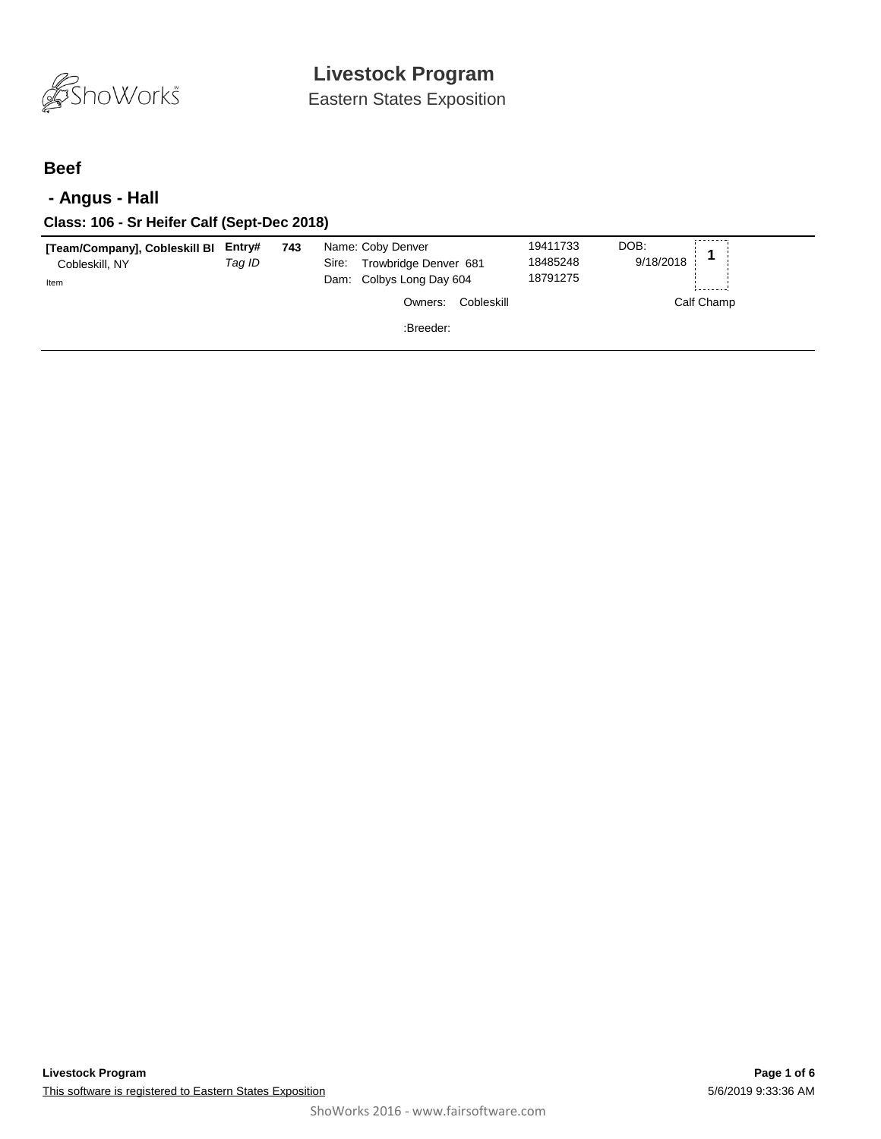

Eastern States Exposition

#### **Beef**

### **- Angus - Hall**

| Class: 106 - Sr Heifer Calf (Sept-Dec 2018)             |                  |     |                                                                                 |                                  |                   |  |
|---------------------------------------------------------|------------------|-----|---------------------------------------------------------------------------------|----------------------------------|-------------------|--|
| [Team/Company], Cobleskill BI<br>Cobleskill, NY<br>Item | Entry#<br>Tag ID | 743 | Name: Coby Denver<br>Trowbridge Denver 681<br>Sire:<br>Dam: Colbys Long Day 604 | 19411733<br>18485248<br>18791275 | DOB:<br>9/18/2018 |  |
|                                                         |                  |     | Cobleskill<br>Owners:<br>:Breeder:                                              |                                  | Calf Champ        |  |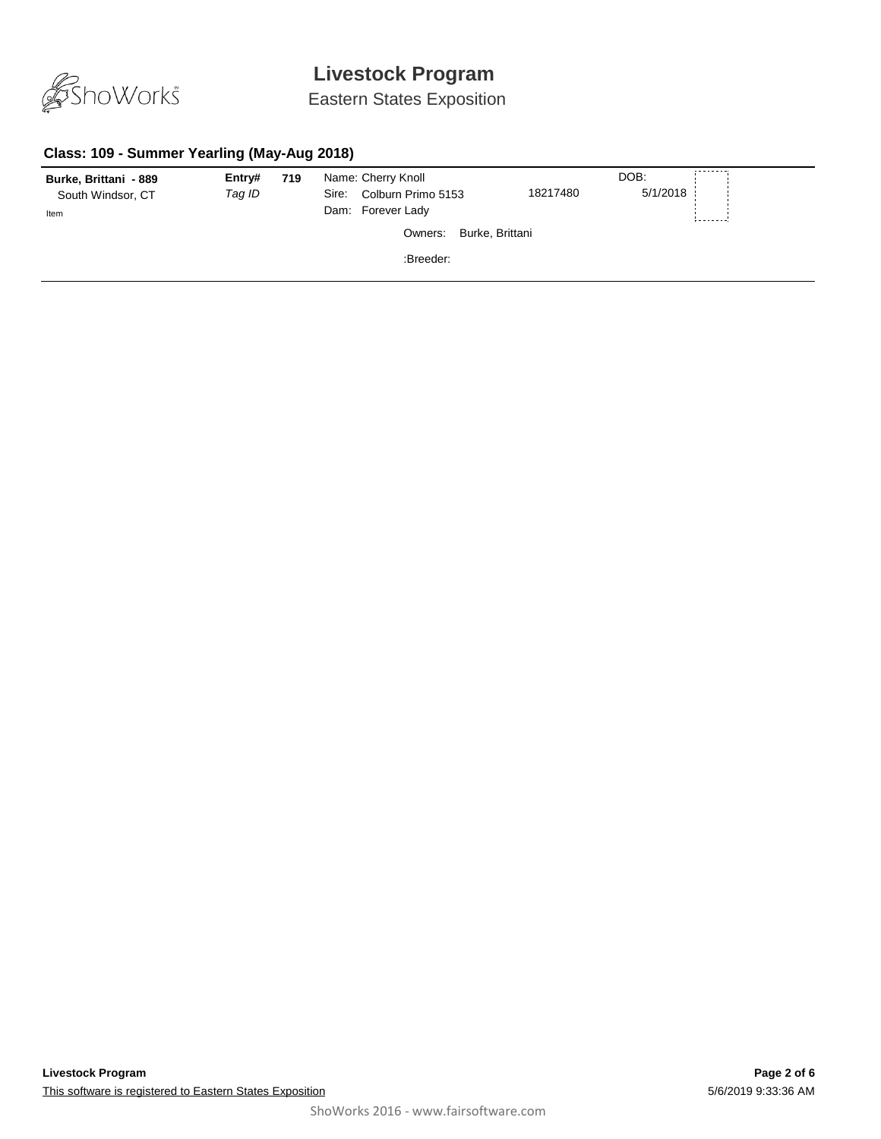

### Eastern States Exposition

#### **Class: 109 - Summer Yearling (May-Aug 2018)**

| Burke, Brittani - 889 | Entry# | 719 | Name: Cherry Knoll          |          | DOB:     | --------- |
|-----------------------|--------|-----|-----------------------------|----------|----------|-----------|
| South Windsor, CT     | Tag ID |     | Colburn Primo 5153<br>Sire: | 18217480 | 5/1/2018 |           |
| Item                  |        |     | Dam: Forever Lady           |          |          |           |
|                       |        |     | Burke, Brittani<br>Owners:  |          |          |           |
|                       |        |     | :Breeder:                   |          |          |           |
|                       |        |     |                             |          |          |           |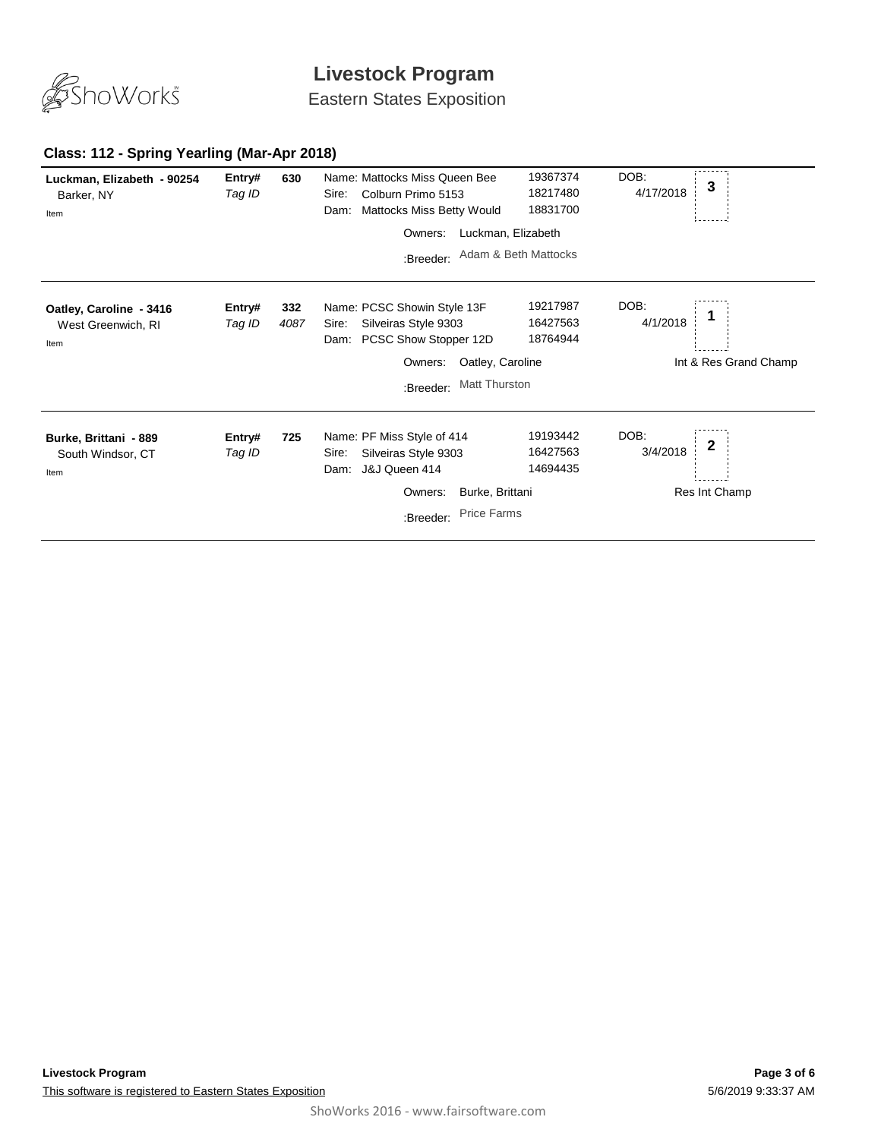

Eastern States Exposition

#### **Class: 112 - Spring Yearling (Mar-Apr 2018) 630 Luckman, Elizabeth - 90254**

| Luckman, Elizabeth - 90254<br>Barker, NY<br>Item      | Entry#<br>Tag ID | 630         | Name: Mattocks Miss Queen Bee<br>Colburn Primo 5153<br>Sire:<br>Mattocks Miss Betty Would<br>Dam: | 19367374<br>18217480<br>18831700 | DOB:<br>4/17/2018 | 3                     |
|-------------------------------------------------------|------------------|-------------|---------------------------------------------------------------------------------------------------|----------------------------------|-------------------|-----------------------|
|                                                       |                  |             | Owners:                                                                                           | Luckman, Elizabeth               |                   |                       |
|                                                       |                  |             | :Breeder:                                                                                         | Adam & Beth Mattocks             |                   |                       |
| Oatley, Caroline - 3416<br>West Greenwich, RI<br>Item | Entry#<br>Tag ID | 332<br>4087 | Name: PCSC Showin Style 13F<br>Silveiras Style 9303<br>Sire:<br>PCSC Show Stopper 12D<br>Dam:     | 19217987<br>16427563<br>18764944 | DOB:<br>4/1/2018  |                       |
|                                                       |                  |             | Oatley, Caroline<br>Owners:                                                                       |                                  |                   | Int & Res Grand Champ |
|                                                       |                  |             | Matt Thurston<br>:Breeder:                                                                        |                                  |                   |                       |
| Burke, Brittani - 889<br>South Windsor, CT<br>Item    | Entry#<br>Tag ID | 725         | Name: PF Miss Style of 414<br>Silveiras Style 9303<br>Sire:<br>J&J Queen 414<br>Dam:              | 19193442<br>16427563<br>14694435 | DOB:<br>3/4/2018  | 2                     |
|                                                       |                  |             | Burke, Brittani<br>Owners:                                                                        |                                  |                   | Res Int Champ         |
|                                                       |                  |             | <b>Price Farms</b><br>:Breeder:                                                                   |                                  |                   |                       |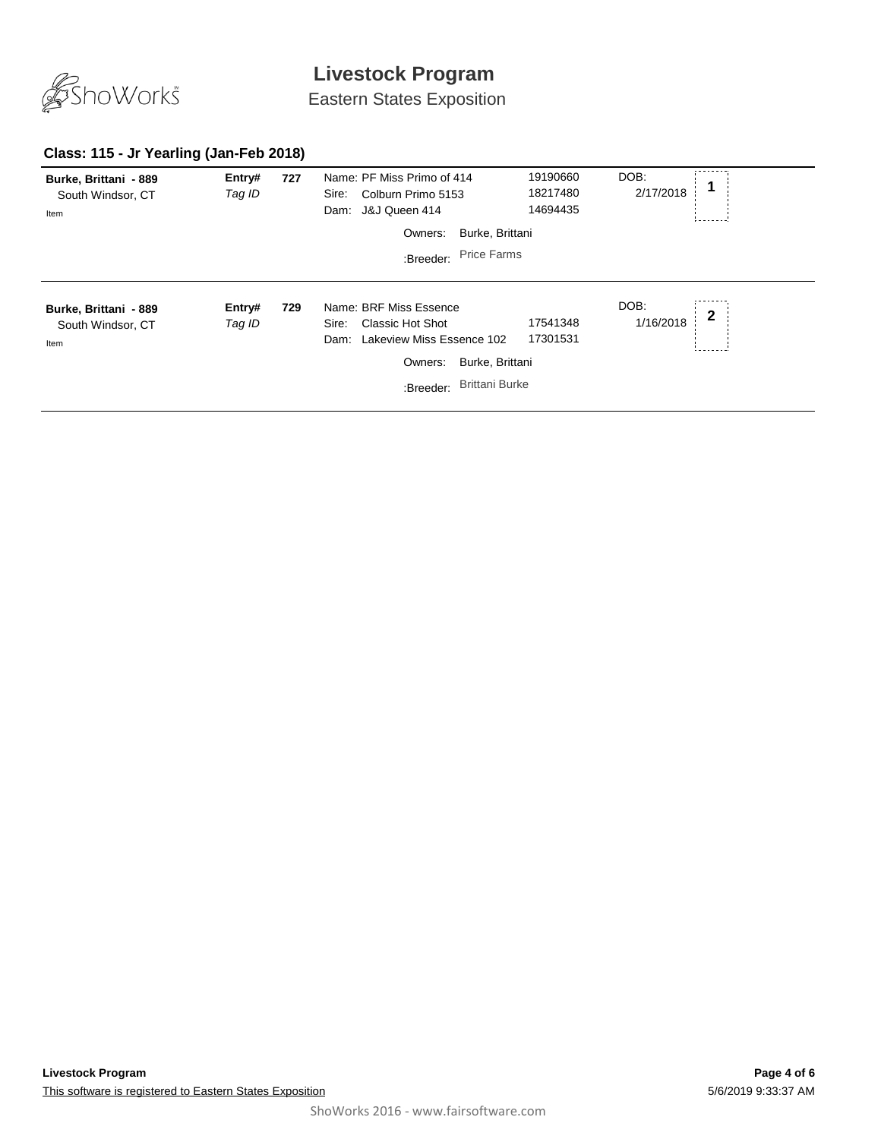

Eastern States Exposition

### **Class: 115 - Jr Yearling (Jan-Feb 2018)**

| Burke, Brittani - 889<br>South Windsor, CT<br>Item | Entry#<br>Tag ID | 727 | Name: PF Miss Primo of 414<br>Colburn Primo 5153<br>Sire:<br>J&J Queen 414<br>Dam: | 19190660<br>18217480<br>14694435 | DOB:<br>2/17/2018 |              |
|----------------------------------------------------|------------------|-----|------------------------------------------------------------------------------------|----------------------------------|-------------------|--------------|
|                                                    |                  |     | Burke, Brittani<br>Owners:                                                         |                                  |                   |              |
|                                                    |                  |     | <b>Price Farms</b><br>:Breeder:                                                    |                                  |                   |              |
|                                                    |                  |     |                                                                                    |                                  |                   |              |
| Burke, Brittani - 889                              | Entry#           | 729 | Name: BRF Miss Essence                                                             |                                  | DOB:<br>1/16/2018 | $\mathbf{2}$ |
| South Windsor, CT<br>Item                          | Tag ID           |     | Classic Hot Shot<br>Sire:<br>Lakeview Miss Essence 102<br>Dam:                     | 17541348<br>17301531             |                   |              |
|                                                    |                  |     | Burke, Brittani<br>Owners:                                                         |                                  |                   |              |
|                                                    |                  |     | <b>Brittani Burke</b><br>:Breeder:                                                 |                                  |                   |              |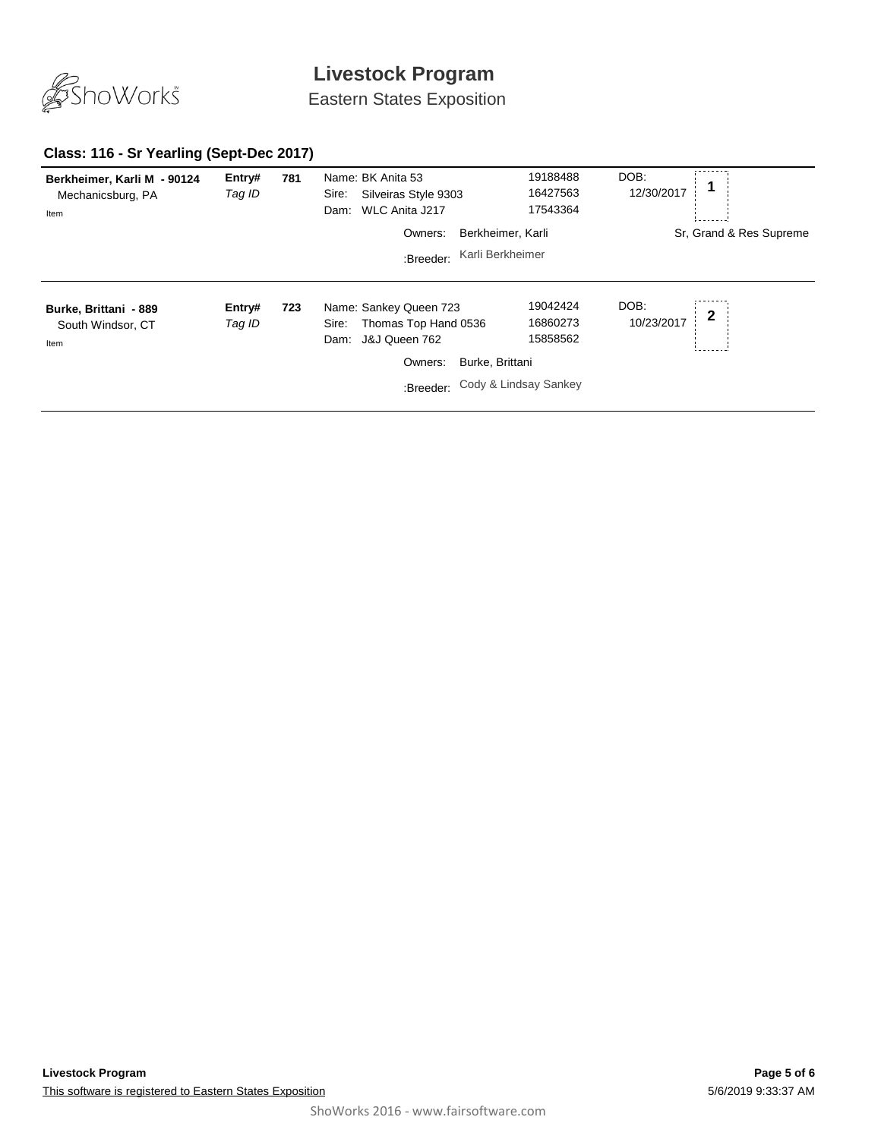

Eastern States Exposition

#### **Class: 116 - Sr Yearling (Sept-Dec 2017)**

| Berkheimer, Karli M - 90124<br>Mechanicsburg, PA<br>Item | Entry#<br>Tag ID | 781 | Name: BK Anita 53<br>Silveiras Style 9303<br>Sire:<br>WLC Anita J217<br>Dam:                             | 19188488<br>16427563<br>17543364                                             | DOB:<br>12/30/2017                |
|----------------------------------------------------------|------------------|-----|----------------------------------------------------------------------------------------------------------|------------------------------------------------------------------------------|-----------------------------------|
|                                                          |                  |     | Owners:                                                                                                  | Berkheimer, Karli                                                            | Sr. Grand & Res Supreme           |
|                                                          |                  |     | :Breeder:                                                                                                | Karli Berkheimer                                                             |                                   |
| Burke, Brittani - 889<br>South Windsor, CT<br>Item       | Entry#<br>Tag ID | 723 | Name: Sankey Queen 723<br>Thomas Top Hand 0536<br>Sire:<br>J&J Queen 762<br>Dam:<br>Owners:<br>:Breeder: | 19042424<br>16860273<br>15858562<br>Burke, Brittani<br>Cody & Lindsay Sankey | DOB:<br>$\mathbf 2$<br>10/23/2017 |